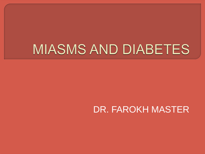### MIASMS AND DIABETES

#### DR. FAROKH MASTER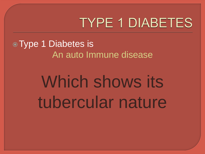**Type 1 Diabetes is** An auto Immune disease

### Which shows its tubercular nature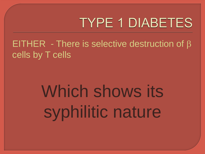EITHER - There is selective destruction of β cells by T cells

# Which shows its syphilitic nature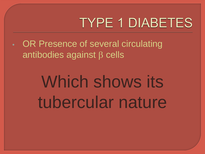• OR Presence of several circulating antibodies against β cells

## Which shows its tubercular nature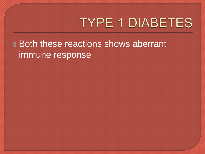Both these reactions shows aberrant immune response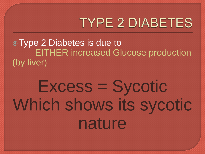Type 2 Diabetes is due to EITHER increased Glucose production (by liver)

### Excess = Sycotic Which shows its sycotic nature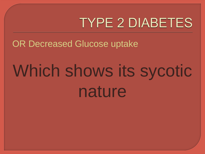OR Decreased Glucose uptake

### Which shows its sycotic nature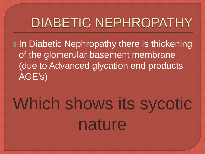#### **DIABETIC NEPHROPATHY**

**OIn Diabetic Nephropathy there is thickening** of the glomerular basement membrane (due to Advanced glycation end products AGE's)

## Which shows its sycotic nature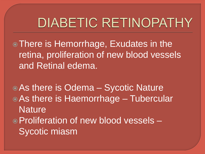#### **DIABETIC RETINOPATHY**

There is Hemorrhage, Exudates in the retina, proliferation of new blood vessels and Retinal edema.

As there is Odema – Sycotic Nature As there is Haemorrhage – Tubercular **Nature** Proliferation of new blood vessels – Sycotic miasm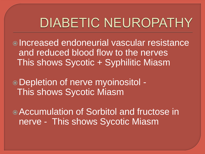#### **DIABETIC NEUROPATHY**

Increased endoneurial vascular resistance and reduced blood flow to the nerves This shows Sycotic + Syphilitic Miasm

Depletion of nerve myoinositol - This shows Sycotic Miasm

Accumulation of Sorbitol and fructose in nerve - This shows Sycotic Miasm